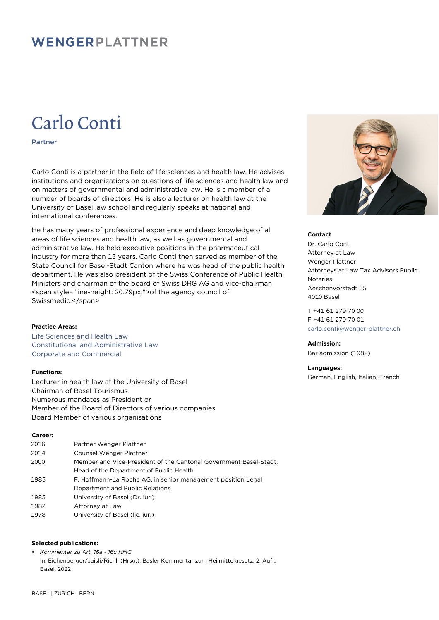# WENGERPLATTNER

# Carlo Conti

Partner

Carlo Conti is a partner in the field of life sciences and health law. He advises institutions and organizations on questions of life sciences and health law and on matters of governmental and administrative law. He is a member of a number of boards of directors. He is also a lecturer on health law at the University of Basel law school and regularly speaks at national and international conferences.

He has many years of professional experience and deep knowledge of all areas of life sciences and health law, as well as governmental and administrative law. He held executive positions in the pharmaceutical industry for more than 15 years. Carlo Conti then served as member of the State Council for Basel-Stadt Canton where he was head of the public health department. He was also president of the Swiss Conference of Public Health Ministers and chairman of the board of Swiss DRG AG and vice-chairman <span style="line-height: 20.79px;">of the agency council of Swissmedic.</span>

## **Practice Areas:**

Life Sciences and Health Law Constitutional and Administrative Law Corporate and Commercial

# **Functions:**

Lecturer in health law at the University of Basel Chairman of Basel Tourismus Numerous mandates as President or Member of the Board of Directors of various companies Board Member of various organisations

### **Career:**

| 2016 | Partner Wenger Plattner                                           |
|------|-------------------------------------------------------------------|
| 2014 | Counsel Wenger Plattner                                           |
| 2000 | Member and Vice-President of the Cantonal Government Basel-Stadt, |
|      | Head of the Department of Public Health                           |
| 1985 | F. Hoffmann-La Roche AG, in senior management position Legal      |
|      | Department and Public Relations                                   |
| 1985 | University of Basel (Dr. jur.)                                    |
| 1982 | Attorney at Law                                                   |
| 1978 | University of Basel (lic. jur.)                                   |

# **Selected publications:**

• *Kommentar zu Art. 16a - 16c HMG* In: Eichenberger/Jaisli/Richli (Hrsg.), Basler Kommentar zum Heilmittelgesetz, 2. Aufl., Basel, 2022



#### **Contact**

Dr. Carlo Conti Attorney at Law Wenger Plattner Attorneys at Law Tax Advisors Public Notaries Aeschenvorstadt 55 4010 Basel

T +41 61 279 70 00 F +41 61 279 70 01 [carlo.conti@wenger-plattner.ch](mailto:carlo.conti@wenger-plattner.ch)

# **Admission:**

Bar admission (1982)

# **Languages:**

German, English, Italian, French